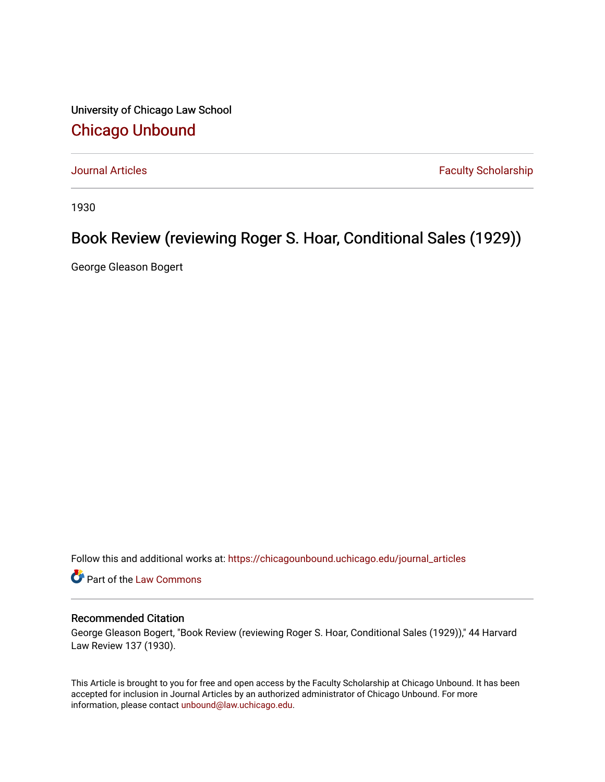University of Chicago Law School [Chicago Unbound](https://chicagounbound.uchicago.edu/)

[Journal Articles](https://chicagounbound.uchicago.edu/journal_articles) **Faculty Scholarship Faculty Scholarship** 

1930

## Book Review (reviewing Roger S. Hoar, Conditional Sales (1929))

George Gleason Bogert

Follow this and additional works at: [https://chicagounbound.uchicago.edu/journal\\_articles](https://chicagounbound.uchicago.edu/journal_articles?utm_source=chicagounbound.uchicago.edu%2Fjournal_articles%2F8959&utm_medium=PDF&utm_campaign=PDFCoverPages) 

Part of the [Law Commons](http://network.bepress.com/hgg/discipline/578?utm_source=chicagounbound.uchicago.edu%2Fjournal_articles%2F8959&utm_medium=PDF&utm_campaign=PDFCoverPages)

## Recommended Citation

George Gleason Bogert, "Book Review (reviewing Roger S. Hoar, Conditional Sales (1929))," 44 Harvard Law Review 137 (1930).

This Article is brought to you for free and open access by the Faculty Scholarship at Chicago Unbound. It has been accepted for inclusion in Journal Articles by an authorized administrator of Chicago Unbound. For more information, please contact [unbound@law.uchicago.edu](mailto:unbound@law.uchicago.edu).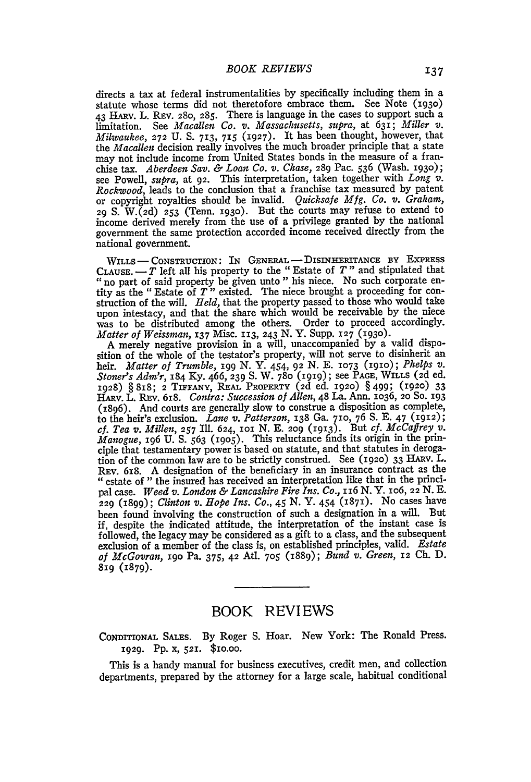directs a tax at federal instrumentalities by specifically including them in a statute whose terms did not theretofore embrace them. See Note **(193o)** 43 HARv. L. REv. **280, 285.** There is language in the cases to support such a limitation. See *Macallen Co. v. Massachusetts, supra,* at 631; *Miller v. Milwaukee,* **272 U. S. 713, 715** (1927). It has been thought, however, that the *Macallen* decision really involves the much broader principle that a state may not include income from United States bonds in the measure of a franchise tax. *Aberdeen Say. & Loan Co. v. Chase,* **289** Pac. **536** (Wash. **193o);** see Powell, *supra,* at **92.** This interpretation, taken together with *Long v. Rockwood,* leads to the conclusion that a franchise tax measured **by** patent or copyright royalties should be invalid. *Quicksafe Mfg. Co. v. Graham,* 29 **S.** W.(2d) **253** (Tenn. 1930). But the courts may refuse to extend to income derived merely from the use of a privilege granted **by** the national government the same protection accorded income received directly from the national government.

WILLS- **CONSTRUCTION:** IN GENERAL- DISINHERITANCE BY EXPRESS CLAUSE. **-** *T* left all his property to the "Estate of *T"* and stipulated that  $\mathcal{L}_{\text{AUSE}} \rightarrow I$  felt all his property to the  $\mathcal{L}_{\text{BAGE}}$  of  $I$  and supplied that tity as the "Estate of *T"* existed. The niece brought a proceeding for construction of the will. *Held,* that the property passed to those who would take upon intestacy, and that the share which would be receivable by the niece was to be distributed among the others. Order to proceed accordingly. *Matter of Weissman,* 137 Misc. 113, 243 **N.** Y. Supp. 127 **(1930).**

A merely negative provision in a will, unaccompanied by a valid disposition of the whole of the testator's property, will not serve to disinherit an heir. *Matter of Trumble,* **199** N. Y. 454, **92** N. E. **1073** (i91o); *Phelps v. Stoner's Adm'r,* 184 Ky. 466, **239 S.** W. **780 (1919);** see **PAGE, WILLS (2d** ed. 1928) § 8I8; 2 TIFFANY, REAL PROPERTY **(2d** ed. 1920) § 499; (192o) 33 HARv. L. REv. 618. *Contra: Succession of Allen,* 48 La. Ann. **1036,** 20 So. **193** (1896). And courts are generally slow to construe a disposition as complete, to the heir's exclusion. *Lane v. Patterson,* 138 Ga. **710,** 76 S. E. 47 (1912); *cf. Tea v. Millen,* **257** Ill. 624, ioi N. E. 209 (913). But *cf. McCaffrey v. Manogue,* **196** U. **S. 563 (19o5).** This reluctance finds its origin in the principle that testamentary power is based on statute, and that statutes in derogation of the common law are to be strictly construed. See (1920) 33 HARv. L. REv. 618. A designation of the beneficiary in an insurance contract as the " estate of " the insured has received an interpretation like that in the principal case. *Weed v. London & Lancashire Fire Ins. Co.,* 116 N.Y. io6, 22 **N. E. 229** (1899); *Clinton v. Hope Ins. Co., 45* **N. Y.** 454 **(1871).** No cases have been found involving the construction of such a designation in a will. But if, despite the indicated attitude, the interpretation of the instant case is followed, the legacy may be considered as a gift to a class, and the subsequent exclusion of a member of the class is, on established principles, valid. *Estate of McGovran,* **19o** Pa. **375,** 42 At. **705** (1889); *Bund v. Green,* 12 **Ch. D. 819 (1879).**

## BOOK REVIEWS

CONDITIONAL SALES. By Roger S. Hoar. New York: The Ronald Press. 1929. Pp. x, 521. **\$10.00.**

This is a handy manual for business executives, credit men, and collection departments, prepared by the attorney for a large scale, habitual conditional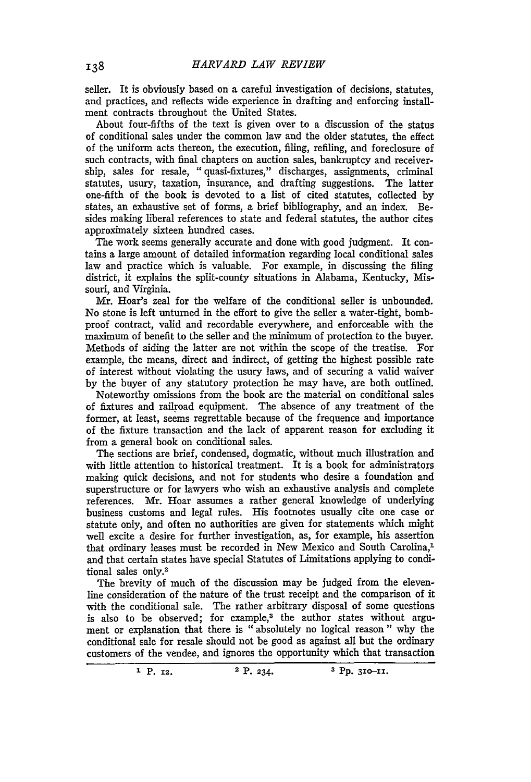seller. It is obviously based on a careful investigation of decisions, statutes, and practices, and reflects wide experience in drafting and enforcing installment contracts throughout the United States.

About four-fifths of the text is given over to a discussion of the status of conditional sales under the common law and the older statutes, the effect of the uniform acts thereon, the execution, filing, refiling, and foreclosure of such contracts, with final chapters on auction sales, bankruptcy and receivership, sales for resale, "quasi-fixtures," discharges, assignments, criminal statutes, usury, taxation, insurance, and drafting suggestions. The latter one-fifth of the book is devoted to a list of cited statutes, collected by states, an exhaustive set of forms, a brief bibliography, and an index. Besides making liberal references to state and federal statutes, the author cites approximately sixteen hundred cases.

The work seems generally accurate and done with good judgment. It contains a large amount of detailed information regarding local conditional sales law and practice which is valuable. For example, in discussing the filing district, it explains the split-county situations in Alabama, Kentucky, Missouri, and Virginia.

Mr. Hoar's zeal for the welfare of the conditional seller is unbounded. No stone is left unturned in the effort to give the seller a water-tight, bombproof contract, valid and recordable everywhere, and enforceable with the maximum of benefit to the seller and the minimum of protection to the buyer. Methods of aiding the latter are not within the scope of the treatise. For example, the means, direct and indirect, of getting the highest possible rate of interest without violating the usury laws, and of securing a valid waiver by the buyer of any statutory protection he may have, are both outlined.

Noteworthy omissions from the book are the material on conditional sales of fixtures and railroad equipment. The absence of any treatment of the former, at least, seems regrettable because of the frequence and importance of the fixture transaction and the lack of apparent reason for excluding it from a general book on conditional sales.

The sections are brief, condensed, dogmatic, without much illustration and with little attention to historical treatment. It is a book for administrators making quick decisions, and not for students who desire a foundation and superstructure or for lawyers who wish an exhaustive analysis and complete references. Mr. Hoar assumes a rather general knowledge of underlying business customs and legal rules. His footnotes usually cite one case or statute only, and often no authorities are given for statements which might well excite a desire for further investigation, as, for example, his assertion that ordinary leases must be recorded in New Mexico and South Carolina,<sup>1</sup> and that certain states have special Statutes of Limitations applying to conditional sales only.<sup>2</sup>

The brevity of much of the discussion may be judged from the elevenline consideration of the nature of the trust receipt and the comparison of it with the conditional sale. The rather arbitrary disposal of some questions is also to be observed; for example, $3$  the author states without argument or explanation that there is "absolutely no logical reason" why the conditional sale for resale should not be good as against all but the ordinary customers of the vendee, and ignores the opportunity which that transaction

**<sup>1</sup>** P. 12. 2 P. **234. <sup>3</sup>PP.** 31O-11.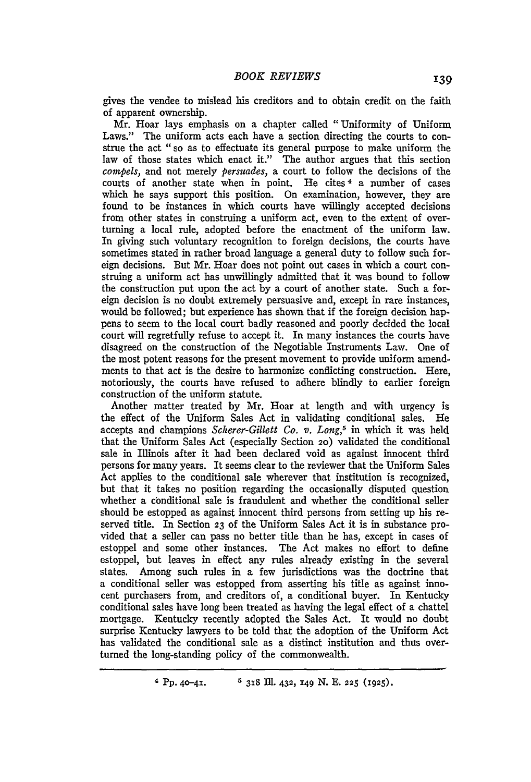gives the vendee to mislead his creditors and to obtain credit on the faith of apparent ownership.

Mr. Hoar lays emphasis on a chapter called "Uniformity of Uniform Laws." The uniform acts each have a section directing the courts to construe the act "so as to effectuate its general purpose to make uniform the law of those states which enact it." The author argues that this section *compels,* and not merely *persuades,* a court to follow the decisions of the courts of another state when in point. He cites<sup>4</sup> a number of cases which he says support this position. On examination, however, they are found to be instances in which courts have willingly accepted decisions from other states in construing a uniform act, even to the extent of overturning a local rule, adopted before the enactment of the uniform law. In giving such voluntary recognition to foreign decisions, the courts have sometimes stated in rather broad language a general duty to follow such foreign decisions. But Mr. Hoar does not point out cases in which a court construing a uniform act has unwillingly admitted that it was bound to follow the construction put upon the act by a court of another state. Such a foreign decision is no doubt extremely persuasive and, except in rare instances, would be followed; but experience has shown that if the foreign decision happens to seem to the local court badly reasoned and poorly decided the local court will regretfully refuse to accept it. In many instances the courts have disagreed on the construction of the Negotiable Instruments Law. One of the most potent reasons for the present movement to provide uniform amendments to that act is the desire to harmonize conflicting construction. Here, notoriously, the courts have refused to adhere blindly to earlier foreign construction of the uniform statute.

Another matter treated by Mr. Hoar at length and with urgency is the effect of the Uniform Sales Act in validating conditional sales. He accepts and champions *Scherer-Gillett Co. v. Long,5* in which it was held that the Uniform Sales Act (especially Section **20)** validated the conditional sale in Illinois after it had been declared void as against innocent third persons for many years. It seems clear to the reviewer that the Uniform Sales Act applies to the conditional sale wherever that institution is recognized, but that it takes no position regarding the occasionally disputed question whether a conditional sale is fraudulent and whether the conditional seller should be estopped as against innocent third persons from setting up his reserved title. In Section **23** of the Uniform Sales Act it is in substance provided that a seller can pass no better title than he has, except in cases of estoppel and some other instances. The Act makes no effort to define estoppel, but leaves in effect any rules already existing in the several states. Among such rules in a few jurisdictions was the doctrine that a conditional seller was estopped from asserting his title as against innocent purchasers from, and creditors of, a conditional buyer. In Kentucky conditional sales have long been treated as having the legal effect of a chattel mortgage. Kentucky recently adopted the Sales Act. It would no doubt surprise Kentucky lawyers to be told that the adoption of the Uniform Act has validated the conditional sale as a distinct institution and thus overturned the long-standing policy of the commonwealth.

<sup>4</sup> **PP.** 4o\_41. **5 318 D11.** 432, :149 *N.* **E.** *225* **(1925).**